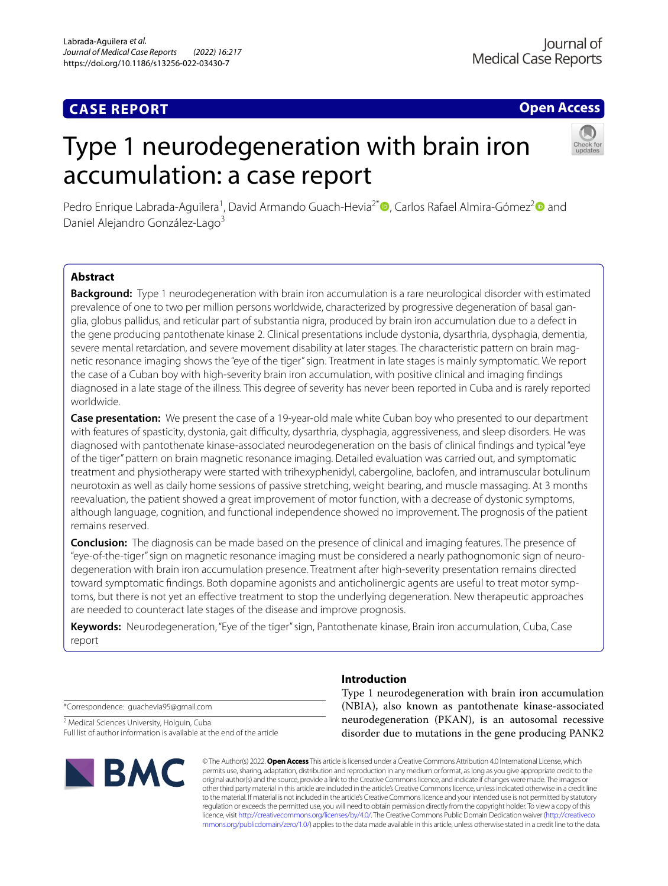# **CASE REPORT**

**Open Access**

# Type 1 neurodegeneration with brain iron accumulation: a case report



Pedro Enrique Labrada-Aguilera<sup>1</sup>, David Armando Guach-Hevia<sup>2[\\*](http://orcid.org/0000-0001-6998-5221)</sup> (D, Carlos Rafael Almira-Gómez<sup>2</sup> (D) and Daniel Alejandro González-Lago<sup>3</sup>

# **Abstract**

**Background:** Type 1 neurodegeneration with brain iron accumulation is a rare neurological disorder with estimated prevalence of one to two per million persons worldwide, characterized by progressive degeneration of basal ganglia, globus pallidus, and reticular part of substantia nigra, produced by brain iron accumulation due to a defect in the gene producing pantothenate kinase 2. Clinical presentations include dystonia, dysarthria, dysphagia, dementia, severe mental retardation, and severe movement disability at later stages. The characteristic pattern on brain magnetic resonance imaging shows the "eye of the tiger" sign. Treatment in late stages is mainly symptomatic. We report the case of a Cuban boy with high-severity brain iron accumulation, with positive clinical and imaging fndings diagnosed in a late stage of the illness. This degree of severity has never been reported in Cuba and is rarely reported worldwide.

**Case presentation:** We present the case of a 19-year-old male white Cuban boy who presented to our department with features of spasticity, dystonia, gait difficulty, dysarthria, dysphagia, aggressiveness, and sleep disorders. He was diagnosed with pantothenate kinase-associated neurodegeneration on the basis of clinical fndings and typical "eye of the tiger" pattern on brain magnetic resonance imaging. Detailed evaluation was carried out, and symptomatic treatment and physiotherapy were started with trihexyphenidyl, cabergoline, baclofen, and intramuscular botulinum neurotoxin as well as daily home sessions of passive stretching, weight bearing, and muscle massaging. At 3 months reevaluation, the patient showed a great improvement of motor function, with a decrease of dystonic symptoms, although language, cognition, and functional independence showed no improvement. The prognosis of the patient remains reserved.

**Conclusion:** The diagnosis can be made based on the presence of clinical and imaging features. The presence of "eye-of-the-tiger" sign on magnetic resonance imaging must be considered a nearly pathognomonic sign of neuro‑ degeneration with brain iron accumulation presence. Treatment after high-severity presentation remains directed toward symptomatic findings. Both dopamine agonists and anticholinergic agents are useful to treat motor symptoms, but there is not yet an efective treatment to stop the underlying degeneration. New therapeutic approaches are needed to counteract late stages of the disease and improve prognosis.

**Keywords:** Neurodegeneration, "Eye of the tiger" sign, Pantothenate kinase, Brain iron accumulation, Cuba, Case report

\*Correspondence: guachevia95@gmail.com

<sup>2</sup> Medical Sciences University, Holguin, Cuba Full list of author information is available at the end of the article



# **Introduction**

Type 1 neurodegeneration with brain iron accumulation (NBIA), also known as pantothenate kinase-associated neurodegeneration (PKAN), is an autosomal recessive disorder due to mutations in the gene producing PANK2

© The Author(s) 2022. **Open Access** This article is licensed under a Creative Commons Attribution 4.0 International License, which permits use, sharing, adaptation, distribution and reproduction in any medium or format, as long as you give appropriate credit to the original author(s) and the source, provide a link to the Creative Commons licence, and indicate if changes were made. The images or other third party material in this article are included in the article's Creative Commons licence, unless indicated otherwise in a credit line to the material. If material is not included in the article's Creative Commons licence and your intended use is not permitted by statutory regulation or exceeds the permitted use, you will need to obtain permission directly from the copyright holder. To view a copy of this licence, visit [http://creativecommons.org/licenses/by/4.0/.](http://creativecommons.org/licenses/by/4.0/) The Creative Commons Public Domain Dedication waiver ([http://creativeco](http://creativecommons.org/publicdomain/zero/1.0/) [mmons.org/publicdomain/zero/1.0/](http://creativecommons.org/publicdomain/zero/1.0/)) applies to the data made available in this article, unless otherwise stated in a credit line to the data.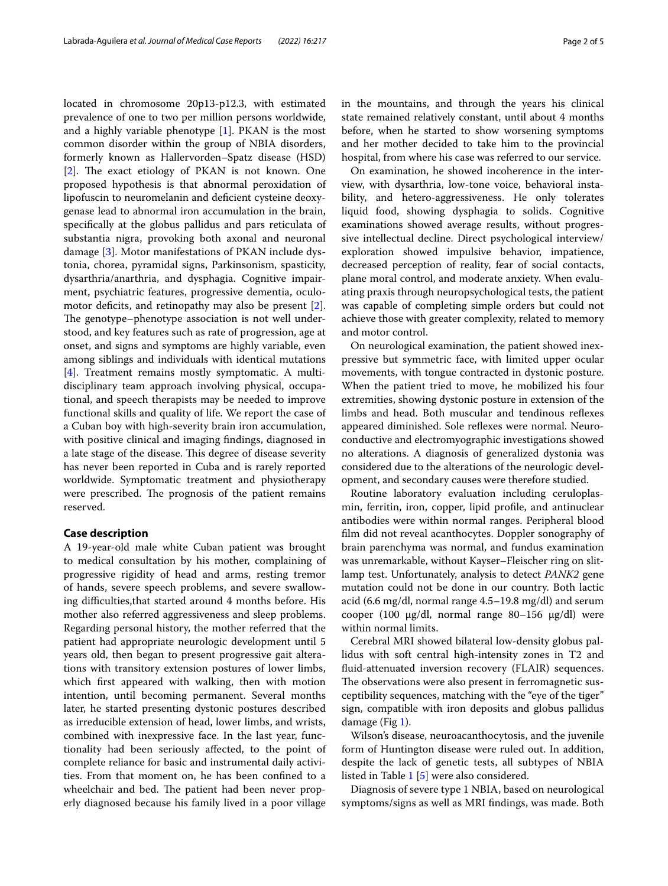located in chromosome 20p13-p12.3, with estimated prevalence of one to two per million persons worldwide, and a highly variable phenotype [[1\]](#page-4-0). PKAN is the most common disorder within the group of NBIA disorders, formerly known as Hallervorden–Spatz disease (HSD) [[2\]](#page-4-1). The exact etiology of PKAN is not known. One proposed hypothesis is that abnormal peroxidation of lipofuscin to neuromelanin and defcient cysteine deoxygenase lead to abnormal iron accumulation in the brain, specifcally at the globus pallidus and pars reticulata of substantia nigra, provoking both axonal and neuronal damage [\[3](#page-4-2)]. Motor manifestations of PKAN include dystonia, chorea, pyramidal signs, Parkinsonism, spasticity, dysarthria/anarthria, and dysphagia. Cognitive impairment, psychiatric features, progressive dementia, oculo-motor deficits, and retinopathy may also be present [\[2](#page-4-1)]. The genotype–phenotype association is not well understood, and key features such as rate of progression, age at onset, and signs and symptoms are highly variable, even among siblings and individuals with identical mutations [[4\]](#page-4-3). Treatment remains mostly symptomatic. A multidisciplinary team approach involving physical, occupational, and speech therapists may be needed to improve functional skills and quality of life. We report the case of a Cuban boy with high-severity brain iron accumulation, with positive clinical and imaging fndings, diagnosed in a late stage of the disease. This degree of disease severity has never been reported in Cuba and is rarely reported worldwide. Symptomatic treatment and physiotherapy were prescribed. The prognosis of the patient remains reserved.

# **Case description**

A 19-year-old male white Cuban patient was brought to medical consultation by his mother, complaining of progressive rigidity of head and arms, resting tremor of hands, severe speech problems, and severe swallowing difculties,that started around 4 months before. His mother also referred aggressiveness and sleep problems. Regarding personal history, the mother referred that the patient had appropriate neurologic development until 5 years old, then began to present progressive gait alterations with transitory extension postures of lower limbs, which frst appeared with walking, then with motion intention, until becoming permanent. Several months later, he started presenting dystonic postures described as irreducible extension of head, lower limbs, and wrists, combined with inexpressive face. In the last year, functionality had been seriously afected, to the point of complete reliance for basic and instrumental daily activities. From that moment on, he has been confned to a wheelchair and bed. The patient had been never properly diagnosed because his family lived in a poor village in the mountains, and through the years his clinical state remained relatively constant, until about 4 months before, when he started to show worsening symptoms and her mother decided to take him to the provincial hospital, from where his case was referred to our service.

On examination, he showed incoherence in the interview, with dysarthria, low-tone voice, behavioral instability, and hetero-aggressiveness. He only tolerates liquid food, showing dysphagia to solids. Cognitive examinations showed average results, without progressive intellectual decline. Direct psychological interview/ exploration showed impulsive behavior, impatience, decreased perception of reality, fear of social contacts, plane moral control, and moderate anxiety. When evaluating praxis through neuropsychological tests, the patient was capable of completing simple orders but could not achieve those with greater complexity, related to memory and motor control.

On neurological examination, the patient showed inexpressive but symmetric face, with limited upper ocular movements, with tongue contracted in dystonic posture. When the patient tried to move, he mobilized his four extremities, showing dystonic posture in extension of the limbs and head. Both muscular and tendinous refexes appeared diminished. Sole refexes were normal. Neuroconductive and electromyographic investigations showed no alterations. A diagnosis of generalized dystonia was considered due to the alterations of the neurologic development, and secondary causes were therefore studied.

Routine laboratory evaluation including ceruloplasmin, ferritin, iron, copper, lipid profle, and antinuclear antibodies were within normal ranges. Peripheral blood flm did not reveal acanthocytes. Doppler sonography of brain parenchyma was normal, and fundus examination was unremarkable, without Kayser–Fleischer ring on slitlamp test. Unfortunately, analysis to detect *PANK2* gene mutation could not be done in our country. Both lactic acid (6.6 mg/dl, normal range 4.5–19.8 mg/dl) and serum cooper (100 µg/dl, normal range 80–156 µg/dl) were within normal limits.

Cerebral MRI showed bilateral low-density globus pallidus with soft central high-intensity zones in T2 and fuid-attenuated inversion recovery (FLAIR) sequences. The observations were also present in ferromagnetic susceptibility sequences, matching with the "eye of the tiger" sign, compatible with iron deposits and globus pallidus damage (Fig [1](#page-2-0)).

Wilson's disease, neuroacanthocytosis, and the juvenile form of Huntington disease were ruled out. In addition, despite the lack of genetic tests, all subtypes of NBIA listed in Table [1](#page-2-1) [\[5](#page-4-4)] were also considered.

Diagnosis of severe type 1 NBIA, based on neurological symptoms/signs as well as MRI fndings, was made. Both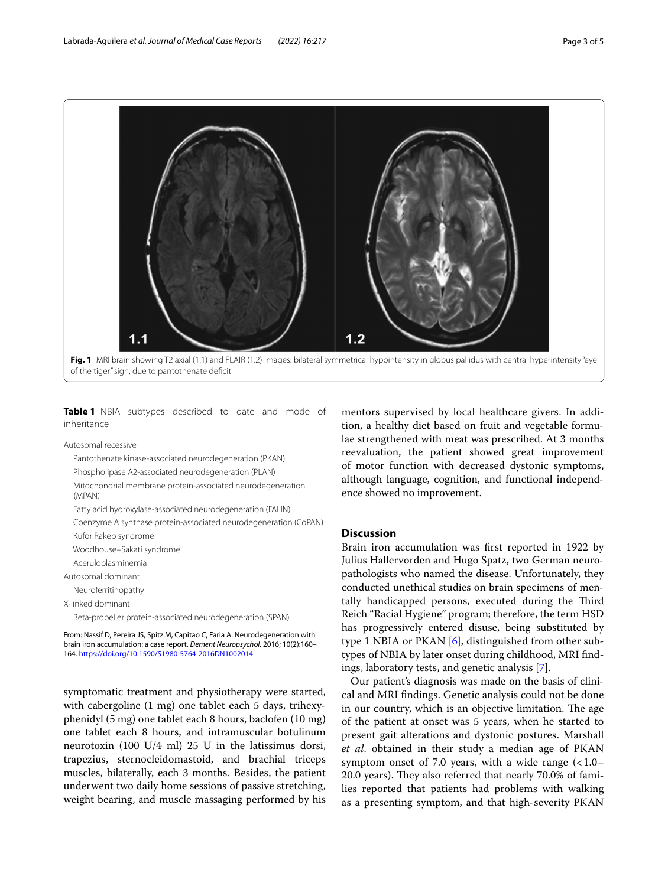

<span id="page-2-0"></span>of the tiger" sign, due to pantothenate defcit

<span id="page-2-1"></span>

|             |  | Table 1 NBIA subtypes described to date and mode of |  |  |  |
|-------------|--|-----------------------------------------------------|--|--|--|
| inheritance |  |                                                     |  |  |  |

Autosomal recessive

| Pantothenate kinase-associated neurodegeneration (PKAN)                         |
|---------------------------------------------------------------------------------|
| Phospholipase A2-associated neurodegeneration (PLAN)                            |
| Mitochondrial membrane protein-associated neurodegeneration<br>(MPAN)           |
| Fatty acid hydroxylase-associated neurodegeneration (FAHN)                      |
| Coenzyme A synthase protein-associated neurodegeneration (CoPAN)                |
| Kufor Rakeb syndrome                                                            |
| Woodhouse-Sakati syndrome                                                       |
| Aceruloplasminemia                                                              |
| Autosomal dominant                                                              |
| Neuroferritinopathy                                                             |
| X-linked dominant                                                               |
| Beta-propeller protein-associated neurodegeneration (SPAN)                      |
| Fram: Nossif D. Baraira IC. Cnity M. Capitao C. Faria A. Nouradoganaration with |

From: Nassif D, Pereira JS, Spitz M, Capitao C, Faria A. Neurodegeneration with brain iron accumulation: a case report. *Dement Neuropsychol*. 2016; 10(2):160– 164.<https://doi.org/10.1590/S1980-5764-2016DN1002014>

symptomatic treatment and physiotherapy were started, with cabergoline (1 mg) one tablet each 5 days, trihexyphenidyl (5 mg) one tablet each 8 hours, baclofen (10 mg) one tablet each 8 hours, and intramuscular botulinum neurotoxin (100 U/4 ml) 25 U in the latissimus dorsi, trapezius, sternocleidomastoid, and brachial triceps muscles, bilaterally, each 3 months. Besides, the patient underwent two daily home sessions of passive stretching, weight bearing, and muscle massaging performed by his mentors supervised by local healthcare givers. In addition, a healthy diet based on fruit and vegetable formulae strengthened with meat was prescribed. At 3 months reevaluation, the patient showed great improvement of motor function with decreased dystonic symptoms, although language, cognition, and functional independence showed no improvement.

## **Discussion**

Brain iron accumulation was frst reported in 1922 by Julius Hallervorden and Hugo Spatz, two German neuropathologists who named the disease. Unfortunately, they conducted unethical studies on brain specimens of mentally handicapped persons, executed during the Third Reich "Racial Hygiene" program; therefore, the term HSD has progressively entered disuse, being substituted by type 1 NBIA or PKAN [\[6](#page-4-5)], distinguished from other subtypes of NBIA by later onset during childhood, MRI fndings, laboratory tests, and genetic analysis [[7\]](#page-4-6).

Our patient's diagnosis was made on the basis of clinical and MRI fndings. Genetic analysis could not be done in our country, which is an objective limitation. The age of the patient at onset was 5 years, when he started to present gait alterations and dystonic postures. Marshall *et al*. obtained in their study a median age of PKAN symptom onset of 7.0 years, with a wide range  $(<1.0-$ 20.0 years). They also referred that nearly 70.0% of families reported that patients had problems with walking as a presenting symptom, and that high-severity PKAN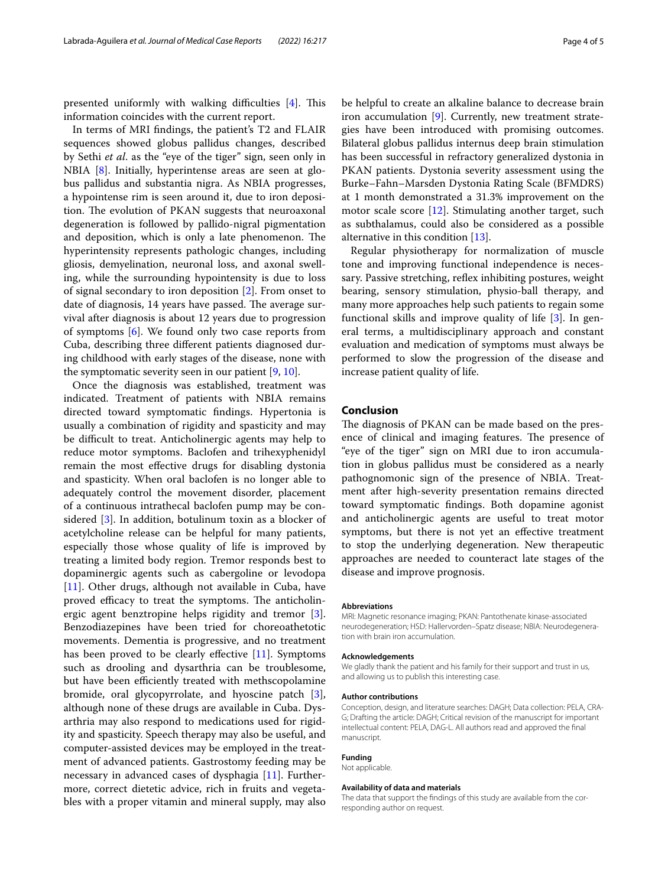presented uniformly with walking difficulties  $[4]$  $[4]$ . This information coincides with the current report.

In terms of MRI fndings, the patient's T2 and FLAIR sequences showed globus pallidus changes, described by Sethi *et al*. as the "eye of the tiger" sign, seen only in NBIA [\[8](#page-4-7)]. Initially, hyperintense areas are seen at globus pallidus and substantia nigra. As NBIA progresses, a hypointense rim is seen around it, due to iron deposition. The evolution of PKAN suggests that neuroaxonal degeneration is followed by pallido-nigral pigmentation and deposition, which is only a late phenomenon. The hyperintensity represents pathologic changes, including gliosis, demyelination, neuronal loss, and axonal swelling, while the surrounding hypointensity is due to loss of signal secondary to iron deposition [\[2](#page-4-1)]. From onset to date of diagnosis, 14 years have passed. The average survival after diagnosis is about 12 years due to progression of symptoms [\[6](#page-4-5)]. We found only two case reports from Cuba, describing three diferent patients diagnosed during childhood with early stages of the disease, none with the symptomatic severity seen in our patient [\[9](#page-4-8), [10\]](#page-4-9).

Once the diagnosis was established, treatment was indicated. Treatment of patients with NBIA remains directed toward symptomatic fndings. Hypertonia is usually a combination of rigidity and spasticity and may be difficult to treat. Anticholinergic agents may help to reduce motor symptoms. Baclofen and trihexyphenidyl remain the most efective drugs for disabling dystonia and spasticity. When oral baclofen is no longer able to adequately control the movement disorder, placement of a continuous intrathecal baclofen pump may be considered [[3\]](#page-4-2). In addition, botulinum toxin as a blocker of acetylcholine release can be helpful for many patients, especially those whose quality of life is improved by treating a limited body region. Tremor responds best to dopaminergic agents such as cabergoline or levodopa [[11\]](#page-4-10). Other drugs, although not available in Cuba, have proved efficacy to treat the symptoms. The anticholinergic agent benztropine helps rigidity and tremor [\[3](#page-4-2)]. Benzodiazepines have been tried for choreoathetotic movements. Dementia is progressive, and no treatment has been proved to be clearly effective  $[11]$ . Symptoms such as drooling and dysarthria can be troublesome, but have been efficiently treated with methscopolamine bromide, oral glycopyrrolate, and hyoscine patch [\[3](#page-4-2)], although none of these drugs are available in Cuba. Dysarthria may also respond to medications used for rigidity and spasticity. Speech therapy may also be useful, and computer-assisted devices may be employed in the treatment of advanced patients. Gastrostomy feeding may be necessary in advanced cases of dysphagia [\[11](#page-4-10)]. Furthermore, correct dietetic advice, rich in fruits and vegetables with a proper vitamin and mineral supply, may also be helpful to create an alkaline balance to decrease brain iron accumulation [[9\]](#page-4-8). Currently, new treatment strategies have been introduced with promising outcomes. Bilateral globus pallidus internus deep brain stimulation has been successful in refractory generalized dystonia in PKAN patients. Dystonia severity assessment using the Burke–Fahn–Marsden Dystonia Rating Scale (BFMDRS) at 1 month demonstrated a 31.3% improvement on the motor scale score [\[12\]](#page-4-11). Stimulating another target, such as subthalamus, could also be considered as a possible alternative in this condition [[13\]](#page-4-12).

Regular physiotherapy for normalization of muscle tone and improving functional independence is necessary. Passive stretching, reflex inhibiting postures, weight bearing, sensory stimulation, physio-ball therapy, and many more approaches help such patients to regain some functional skills and improve quality of life [[3\]](#page-4-2). In general terms, a multidisciplinary approach and constant evaluation and medication of symptoms must always be performed to slow the progression of the disease and increase patient quality of life.

# **Conclusion**

The diagnosis of PKAN can be made based on the presence of clinical and imaging features. The presence of "eye of the tiger" sign on MRI due to iron accumulation in globus pallidus must be considered as a nearly pathognomonic sign of the presence of NBIA. Treatment after high-severity presentation remains directed toward symptomatic fndings. Both dopamine agonist and anticholinergic agents are useful to treat motor symptoms, but there is not yet an efective treatment to stop the underlying degeneration. New therapeutic approaches are needed to counteract late stages of the disease and improve prognosis.

#### **Abbreviations**

MRI: Magnetic resonance imaging; PKAN: Pantothenate kinase-associated neurodegeneration; HSD: Hallervorden–Spatz disease; NBIA: Neurodegenera‑ tion with brain iron accumulation.

#### **Acknowledgements**

We gladly thank the patient and his family for their support and trust in us, and allowing us to publish this interesting case.

#### **Author contributions**

Conception, design, and literature searches: DAGH; Data collection: PELA, CRA-G; Drafting the article: DAGH; Critical revision of the manuscript for important intellectual content: PELA, DAG-L. All authors read and approved the fnal manuscript.

### **Funding**

Not applicable.

#### **Availability of data and materials**

The data that support the findings of this study are available from the corresponding author on request.